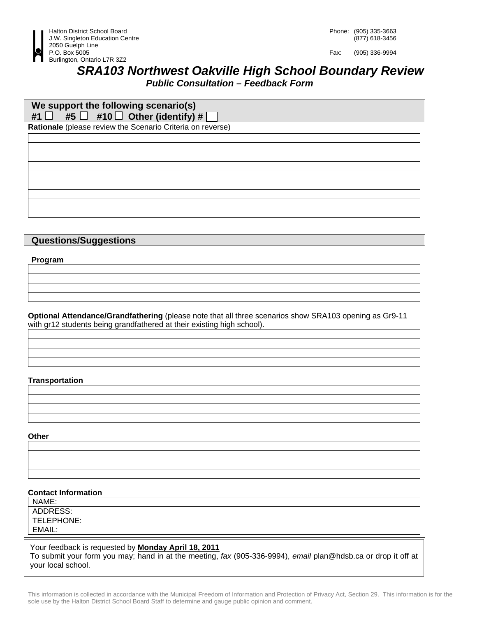

Fax: (905) 336-9994

## *SRA103 Northwest Oakville High School Boundary Review Public Consultation – Feedback Form*

| We support the following scenario(s)<br>┓.<br>#1                                                              |
|---------------------------------------------------------------------------------------------------------------|
| #5 $\Box$ #10 $\Box$ Other (identify) #<br>Rationale (please review the Scenario Criteria on reverse)         |
|                                                                                                               |
|                                                                                                               |
|                                                                                                               |
|                                                                                                               |
|                                                                                                               |
|                                                                                                               |
|                                                                                                               |
|                                                                                                               |
|                                                                                                               |
|                                                                                                               |
| <b>Questions/Suggestions</b>                                                                                  |
|                                                                                                               |
| Program                                                                                                       |
|                                                                                                               |
|                                                                                                               |
|                                                                                                               |
|                                                                                                               |
| Optional Attendance/Grandfathering (please note that all three scenarios show SRA103 opening as Gr9-11        |
| with gr12 students being grandfathered at their existing high school).                                        |
|                                                                                                               |
|                                                                                                               |
|                                                                                                               |
|                                                                                                               |
| <b>Transportation</b>                                                                                         |
|                                                                                                               |
|                                                                                                               |
|                                                                                                               |
|                                                                                                               |
|                                                                                                               |
| <b>Other</b>                                                                                                  |
|                                                                                                               |
|                                                                                                               |
|                                                                                                               |
|                                                                                                               |
| <b>Contact Information</b>                                                                                    |
| NAME:                                                                                                         |
| <b>ADDRESS:</b>                                                                                               |
| TELEPHONE:                                                                                                    |
| EMAIL:                                                                                                        |
| Your feedback is requested by <b>Monday April 18, 2011</b>                                                    |
| To submit your form you may; hand in at the meeting, fax (905-336-9994), email plan@hdsb.ca or drop it off at |
| your local school.                                                                                            |